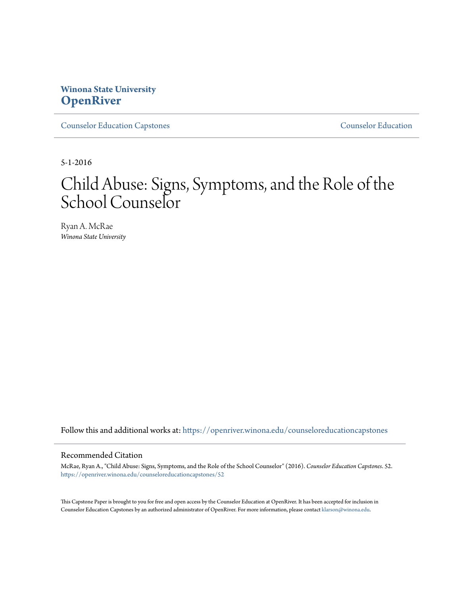# **Winona State University [OpenRiver](https://openriver.winona.edu?utm_source=openriver.winona.edu%2Fcounseloreducationcapstones%2F52&utm_medium=PDF&utm_campaign=PDFCoverPages)**

[Counselor Education Capstones](https://openriver.winona.edu/counseloreducationcapstones?utm_source=openriver.winona.edu%2Fcounseloreducationcapstones%2F52&utm_medium=PDF&utm_campaign=PDFCoverPages) [Counselor Education](https://openriver.winona.edu/counseloreducation?utm_source=openriver.winona.edu%2Fcounseloreducationcapstones%2F52&utm_medium=PDF&utm_campaign=PDFCoverPages)

5-1-2016

# Child Abuse: Signs, Symptoms, and the Role of the School Counselor

Ryan A. McRae *Winona State University*

Follow this and additional works at: [https://openriver.winona.edu/counseloreducationcapstones](https://openriver.winona.edu/counseloreducationcapstones?utm_source=openriver.winona.edu%2Fcounseloreducationcapstones%2F52&utm_medium=PDF&utm_campaign=PDFCoverPages)

#### Recommended Citation

McRae, Ryan A., "Child Abuse: Signs, Symptoms, and the Role of the School Counselor" (2016). *Counselor Education Capstones*. 52. [https://openriver.winona.edu/counseloreducationcapstones/52](https://openriver.winona.edu/counseloreducationcapstones/52?utm_source=openriver.winona.edu%2Fcounseloreducationcapstones%2F52&utm_medium=PDF&utm_campaign=PDFCoverPages)

This Capstone Paper is brought to you for free and open access by the Counselor Education at OpenRiver. It has been accepted for inclusion in Counselor Education Capstones by an authorized administrator of OpenRiver. For more information, please contact [klarson@winona.edu](mailto:klarson@winona.edu).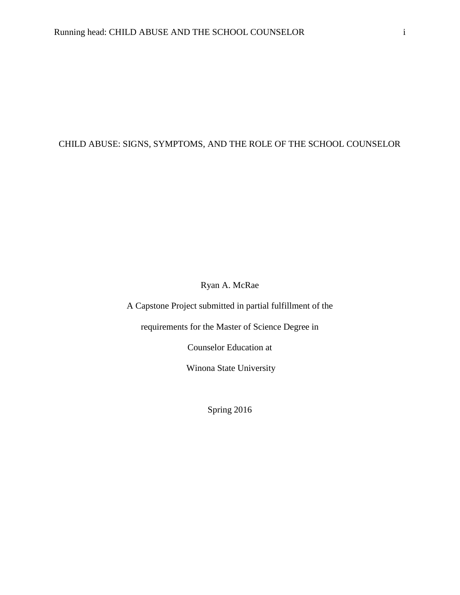# CHILD ABUSE: SIGNS, SYMPTOMS, AND THE ROLE OF THE SCHOOL COUNSELOR

Ryan A. McRae

A Capstone Project submitted in partial fulfillment of the

requirements for the Master of Science Degree in

Counselor Education at

Winona State University

Spring 2016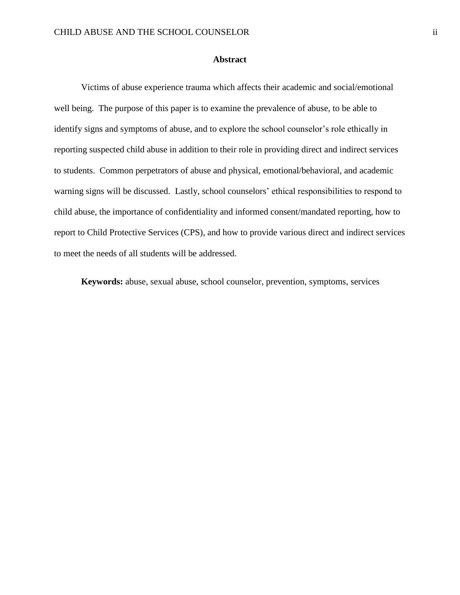# **Abstract**

Victims of abuse experience trauma which affects their academic and social/emotional well being. The purpose of this paper is to examine the prevalence of abuse, to be able to identify signs and symptoms of abuse, and to explore the school counselor's role ethically in reporting suspected child abuse in addition to their role in providing direct and indirect services to students. Common perpetrators of abuse and physical, emotional/behavioral, and academic warning signs will be discussed. Lastly, school counselors' ethical responsibilities to respond to child abuse, the importance of confidentiality and informed consent/mandated reporting, how to report to Child Protective Services (CPS), and how to provide various direct and indirect services to meet the needs of all students will be addressed.

**Keywords:** abuse, sexual abuse, school counselor, prevention, symptoms, services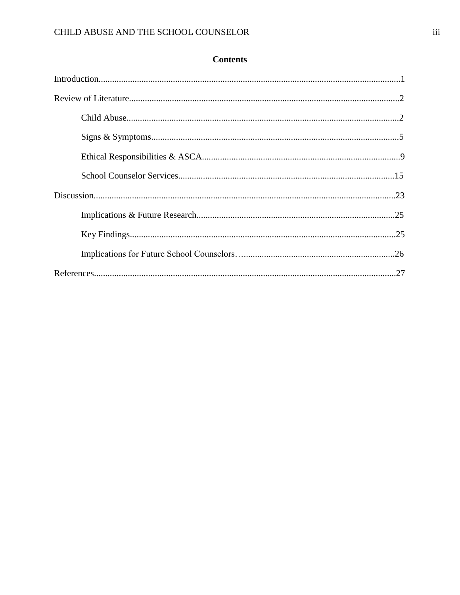| <b>Contents</b> |  |
|-----------------|--|
|-----------------|--|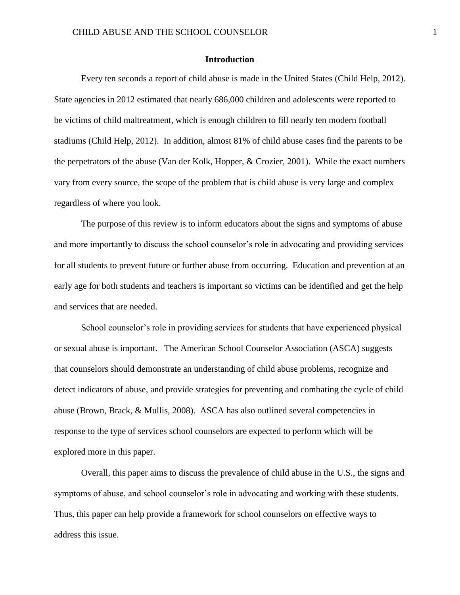# **Introduction**

Every ten seconds a report of child abuse is made in the United States (Child Help, 2012). State agencies in 2012 estimated that nearly 686,000 children and adolescents were reported to be victims of child maltreatment, which is enough children to fill nearly ten modern football stadiums (Child Help, 2012). In addition, almost 81% of child abuse cases find the parents to be the perpetrators of the abuse (Van der Kolk, Hopper, & Crozier, 2001). While the exact numbers vary from every source, the scope of the problem that is child abuse is very large and complex regardless of where you look.

The purpose of this review is to inform educators about the signs and symptoms of abuse and more importantly to discuss the school counselor's role in advocating and providing services for all students to prevent future or further abuse from occurring. Education and prevention at an early age for both students and teachers is important so victims can be identified and get the help and services that are needed.

School counselor's role in providing services for students that have experienced physical or sexual abuse is important. The American School Counselor Association (ASCA) suggests that counselors should demonstrate an understanding of child abuse problems, recognize and detect indicators of abuse, and provide strategies for preventing and combating the cycle of child abuse (Brown, Brack, & Mullis, 2008). ASCA has also outlined several competencies in response to the type of services school counselors are expected to perform which will be explored more in this paper.

Overall, this paper aims to discuss the prevalence of child abuse in the U.S., the signs and symptoms of abuse, and school counselor's role in advocating and working with these students. Thus, this paper can help provide a framework for school counselors on effective ways to address this issue.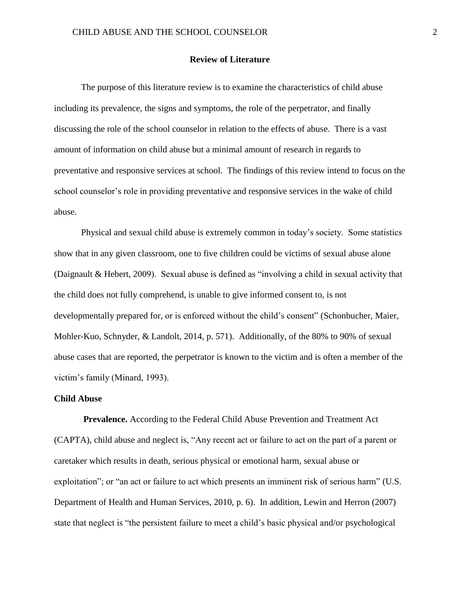# **Review of Literature**

The purpose of this literature review is to examine the characteristics of child abuse including its prevalence, the signs and symptoms, the role of the perpetrator, and finally discussing the role of the school counselor in relation to the effects of abuse. There is a vast amount of information on child abuse but a minimal amount of research in regards to preventative and responsive services at school. The findings of this review intend to focus on the school counselor's role in providing preventative and responsive services in the wake of child abuse.

Physical and sexual child abuse is extremely common in today's society. Some statistics show that in any given classroom, one to five children could be victims of sexual abuse alone (Daignault & Hebert, 2009). Sexual abuse is defined as "involving a child in sexual activity that the child does not fully comprehend, is unable to give informed consent to, is not developmentally prepared for, or is enforced without the child's consent" (Schonbucher, Maier, Mohler-Kuo, Schnyder, & Landolt, 2014, p. 571). Additionally, of the 80% to 90% of sexual abuse cases that are reported, the perpetrator is known to the victim and is often a member of the victim's family (Minard, 1993).

# **Child Abuse**

**Prevalence.** According to the Federal Child Abuse Prevention and Treatment Act (CAPTA), child abuse and neglect is, "Any recent act or failure to act on the part of a parent or caretaker which results in death, serious physical or emotional harm, sexual abuse or exploitation"; or "an act or failure to act which presents an imminent risk of serious harm" (U.S. Department of Health and Human Services, 2010, p. 6). In addition, Lewin and Herron (2007) state that neglect is "the persistent failure to meet a child's basic physical and/or psychological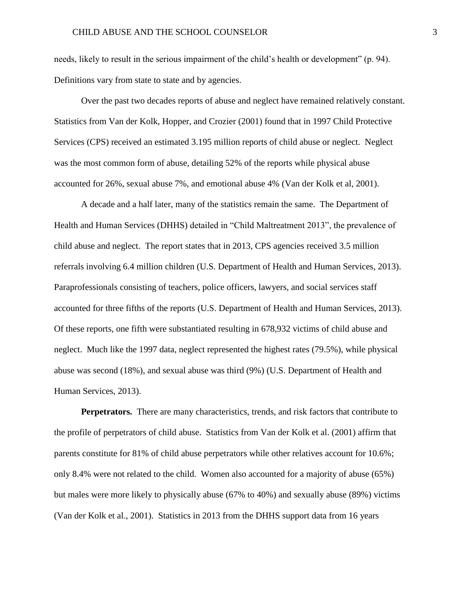needs, likely to result in the serious impairment of the child's health or development" (p. 94). Definitions vary from state to state and by agencies.

Over the past two decades reports of abuse and neglect have remained relatively constant. Statistics from Van der Kolk, Hopper, and Crozier (2001) found that in 1997 Child Protective Services (CPS) received an estimated 3.195 million reports of child abuse or neglect. Neglect was the most common form of abuse, detailing 52% of the reports while physical abuse accounted for 26%, sexual abuse 7%, and emotional abuse 4% (Van der Kolk et al, 2001).

A decade and a half later, many of the statistics remain the same. The Department of Health and Human Services (DHHS) detailed in "Child Maltreatment 2013", the prevalence of child abuse and neglect. The report states that in 2013, CPS agencies received 3.5 million referrals involving 6.4 million children (U.S. Department of Health and Human Services, 2013). Paraprofessionals consisting of teachers, police officers, lawyers, and social services staff accounted for three fifths of the reports (U.S. Department of Health and Human Services, 2013). Of these reports, one fifth were substantiated resulting in 678,932 victims of child abuse and neglect. Much like the 1997 data, neglect represented the highest rates (79.5%), while physical abuse was second (18%), and sexual abuse was third (9%) (U.S. Department of Health and Human Services, 2013).

**Perpetrators.** There are many characteristics, trends, and risk factors that contribute to the profile of perpetrators of child abuse. Statistics from Van der Kolk et al. (2001) affirm that parents constitute for 81% of child abuse perpetrators while other relatives account for 10.6%; only 8.4% were not related to the child. Women also accounted for a majority of abuse (65%) but males were more likely to physically abuse (67% to 40%) and sexually abuse (89%) victims (Van der Kolk et al., 2001). Statistics in 2013 from the DHHS support data from 16 years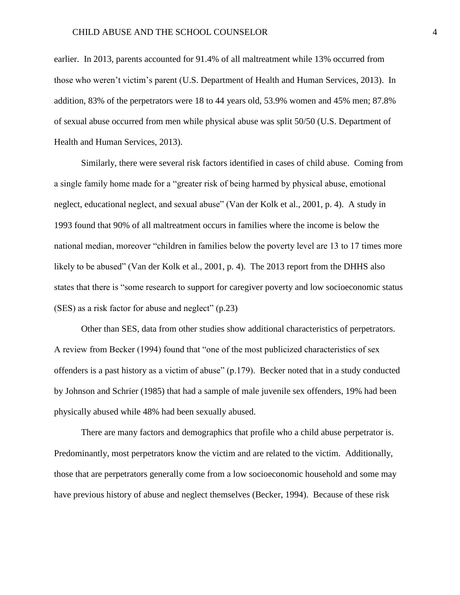#### CHILD ABUSE AND THE SCHOOL COUNSELOR 4

earlier. In 2013, parents accounted for 91.4% of all maltreatment while 13% occurred from those who weren't victim's parent (U.S. Department of Health and Human Services, 2013). In addition, 83% of the perpetrators were 18 to 44 years old, 53.9% women and 45% men; 87.8% of sexual abuse occurred from men while physical abuse was split 50/50 (U.S. Department of Health and Human Services, 2013).

Similarly, there were several risk factors identified in cases of child abuse. Coming from a single family home made for a "greater risk of being harmed by physical abuse, emotional neglect, educational neglect, and sexual abuse" (Van der Kolk et al., 2001, p. 4). A study in 1993 found that 90% of all maltreatment occurs in families where the income is below the national median, moreover "children in families below the poverty level are 13 to 17 times more likely to be abused" (Van der Kolk et al., 2001, p. 4). The 2013 report from the DHHS also states that there is "some research to support for caregiver poverty and low socioeconomic status (SES) as a risk factor for abuse and neglect" (p.23)

Other than SES, data from other studies show additional characteristics of perpetrators. A review from Becker (1994) found that "one of the most publicized characteristics of sex offenders is a past history as a victim of abuse" (p.179). Becker noted that in a study conducted by Johnson and Schrier (1985) that had a sample of male juvenile sex offenders, 19% had been physically abused while 48% had been sexually abused.

There are many factors and demographics that profile who a child abuse perpetrator is. Predominantly, most perpetrators know the victim and are related to the victim. Additionally, those that are perpetrators generally come from a low socioeconomic household and some may have previous history of abuse and neglect themselves (Becker, 1994). Because of these risk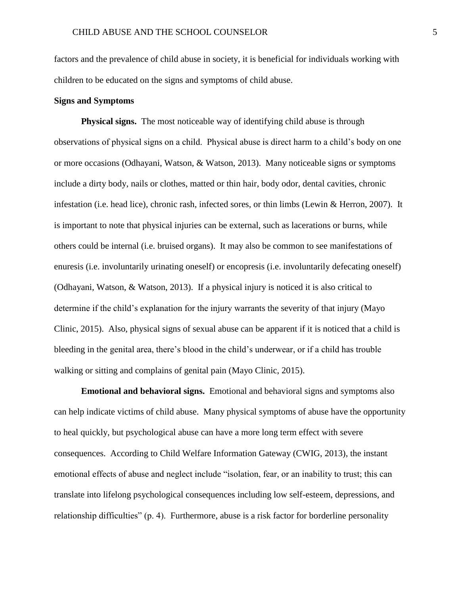factors and the prevalence of child abuse in society, it is beneficial for individuals working with children to be educated on the signs and symptoms of child abuse.

# **Signs and Symptoms**

**Physical signs.** The most noticeable way of identifying child abuse is through observations of physical signs on a child. Physical abuse is direct harm to a child's body on one or more occasions (Odhayani, Watson, & Watson, 2013). Many noticeable signs or symptoms include a dirty body, nails or clothes, matted or thin hair, body odor, dental cavities, chronic infestation (i.e. head lice), chronic rash, infected sores, or thin limbs (Lewin & Herron, 2007). It is important to note that physical injuries can be external, such as lacerations or burns, while others could be internal (i.e. bruised organs). It may also be common to see manifestations of enuresis (i.e. involuntarily urinating oneself) or encopresis (i.e. involuntarily defecating oneself) (Odhayani, Watson, & Watson, 2013). If a physical injury is noticed it is also critical to determine if the child's explanation for the injury warrants the severity of that injury (Mayo Clinic, 2015). Also, physical signs of sexual abuse can be apparent if it is noticed that a child is bleeding in the genital area, there's blood in the child's underwear, or if a child has trouble walking or sitting and complains of genital pain (Mayo Clinic, 2015).

**Emotional and behavioral signs.** Emotional and behavioral signs and symptoms also can help indicate victims of child abuse. Many physical symptoms of abuse have the opportunity to heal quickly, but psychological abuse can have a more long term effect with severe consequences. According to Child Welfare Information Gateway (CWIG, 2013), the instant emotional effects of abuse and neglect include "isolation, fear, or an inability to trust; this can translate into lifelong psychological consequences including low self-esteem, depressions, and relationship difficulties" (p. 4). Furthermore, abuse is a risk factor for borderline personality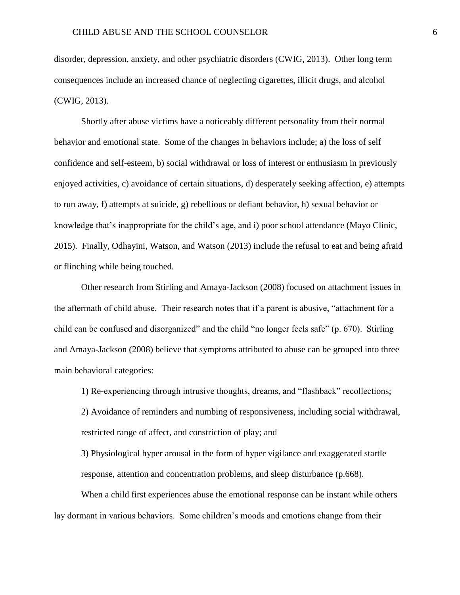disorder, depression, anxiety, and other psychiatric disorders (CWIG, 2013). Other long term consequences include an increased chance of neglecting cigarettes, illicit drugs, and alcohol (CWIG, 2013).

Shortly after abuse victims have a noticeably different personality from their normal behavior and emotional state. Some of the changes in behaviors include; a) the loss of self confidence and self-esteem, b) social withdrawal or loss of interest or enthusiasm in previously enjoyed activities, c) avoidance of certain situations, d) desperately seeking affection, e) attempts to run away, f) attempts at suicide, g) rebellious or defiant behavior, h) sexual behavior or knowledge that's inappropriate for the child's age, and i) poor school attendance (Mayo Clinic, 2015). Finally, Odhayini, Watson, and Watson (2013) include the refusal to eat and being afraid or flinching while being touched.

Other research from Stirling and Amaya-Jackson (2008) focused on attachment issues in the aftermath of child abuse. Their research notes that if a parent is abusive, "attachment for a child can be confused and disorganized" and the child "no longer feels safe" (p. 670). Stirling and Amaya-Jackson (2008) believe that symptoms attributed to abuse can be grouped into three main behavioral categories:

1) Re-experiencing through intrusive thoughts, dreams, and "flashback" recollections;

2) Avoidance of reminders and numbing of responsiveness, including social withdrawal, restricted range of affect, and constriction of play; and

3) Physiological hyper arousal in the form of hyper vigilance and exaggerated startle response, attention and concentration problems, and sleep disturbance (p.668).

When a child first experiences abuse the emotional response can be instant while others lay dormant in various behaviors. Some children's moods and emotions change from their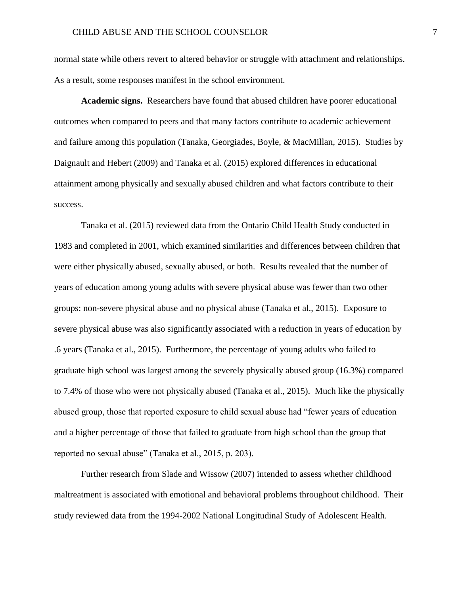normal state while others revert to altered behavior or struggle with attachment and relationships. As a result, some responses manifest in the school environment.

**Academic signs.** Researchers have found that abused children have poorer educational outcomes when compared to peers and that many factors contribute to academic achievement and failure among this population (Tanaka, Georgiades, Boyle, & MacMillan, 2015). Studies by Daignault and Hebert (2009) and Tanaka et al. (2015) explored differences in educational attainment among physically and sexually abused children and what factors contribute to their success.

Tanaka et al. (2015) reviewed data from the Ontario Child Health Study conducted in 1983 and completed in 2001, which examined similarities and differences between children that were either physically abused, sexually abused, or both. Results revealed that the number of years of education among young adults with severe physical abuse was fewer than two other groups: non-severe physical abuse and no physical abuse (Tanaka et al., 2015). Exposure to severe physical abuse was also significantly associated with a reduction in years of education by .6 years (Tanaka et al., 2015). Furthermore, the percentage of young adults who failed to graduate high school was largest among the severely physically abused group (16.3%) compared to 7.4% of those who were not physically abused (Tanaka et al., 2015). Much like the physically abused group, those that reported exposure to child sexual abuse had "fewer years of education and a higher percentage of those that failed to graduate from high school than the group that reported no sexual abuse" (Tanaka et al., 2015, p. 203).

Further research from Slade and Wissow (2007) intended to assess whether childhood maltreatment is associated with emotional and behavioral problems throughout childhood. Their study reviewed data from the 1994-2002 National Longitudinal Study of Adolescent Health.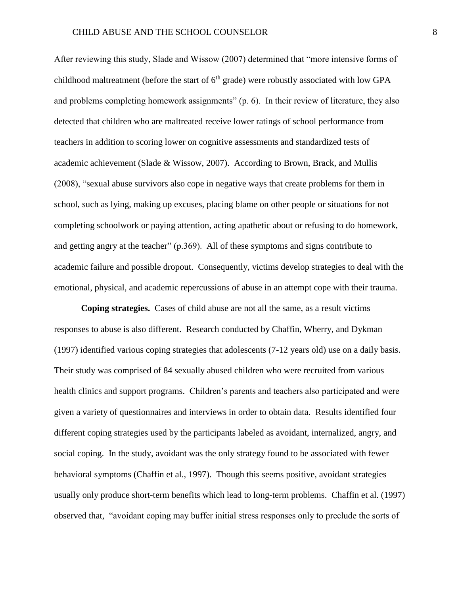After reviewing this study, Slade and Wissow (2007) determined that "more intensive forms of childhood maltreatment (before the start of  $6<sup>th</sup>$  grade) were robustly associated with low GPA and problems completing homework assignments" (p. 6). In their review of literature, they also detected that children who are maltreated receive lower ratings of school performance from teachers in addition to scoring lower on cognitive assessments and standardized tests of academic achievement (Slade & Wissow, 2007). According to Brown, Brack, and Mullis (2008), "sexual abuse survivors also cope in negative ways that create problems for them in school, such as lying, making up excuses, placing blame on other people or situations for not completing schoolwork or paying attention, acting apathetic about or refusing to do homework, and getting angry at the teacher" (p.369). All of these symptoms and signs contribute to academic failure and possible dropout. Consequently, victims develop strategies to deal with the emotional, physical, and academic repercussions of abuse in an attempt cope with their trauma.

**Coping strategies.** Cases of child abuse are not all the same, as a result victims responses to abuse is also different. Research conducted by Chaffin, Wherry, and Dykman (1997) identified various coping strategies that adolescents (7-12 years old) use on a daily basis. Their study was comprised of 84 sexually abused children who were recruited from various health clinics and support programs. Children's parents and teachers also participated and were given a variety of questionnaires and interviews in order to obtain data. Results identified four different coping strategies used by the participants labeled as avoidant, internalized, angry, and social coping. In the study, avoidant was the only strategy found to be associated with fewer behavioral symptoms (Chaffin et al., 1997). Though this seems positive, avoidant strategies usually only produce short-term benefits which lead to long-term problems. Chaffin et al. (1997) observed that, "avoidant coping may buffer initial stress responses only to preclude the sorts of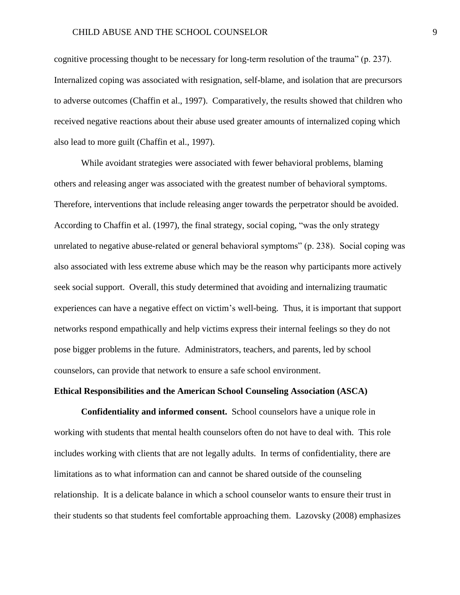cognitive processing thought to be necessary for long-term resolution of the trauma" (p. 237). Internalized coping was associated with resignation, self-blame, and isolation that are precursors to adverse outcomes (Chaffin et al., 1997). Comparatively, the results showed that children who received negative reactions about their abuse used greater amounts of internalized coping which also lead to more guilt (Chaffin et al., 1997).

While avoidant strategies were associated with fewer behavioral problems, blaming others and releasing anger was associated with the greatest number of behavioral symptoms. Therefore, interventions that include releasing anger towards the perpetrator should be avoided. According to Chaffin et al. (1997), the final strategy, social coping, "was the only strategy unrelated to negative abuse-related or general behavioral symptoms" (p. 238). Social coping was also associated with less extreme abuse which may be the reason why participants more actively seek social support. Overall, this study determined that avoiding and internalizing traumatic experiences can have a negative effect on victim's well-being. Thus, it is important that support networks respond empathically and help victims express their internal feelings so they do not pose bigger problems in the future. Administrators, teachers, and parents, led by school counselors, can provide that network to ensure a safe school environment.

## **Ethical Responsibilities and the American School Counseling Association (ASCA)**

**Confidentiality and informed consent.** School counselors have a unique role in working with students that mental health counselors often do not have to deal with. This role includes working with clients that are not legally adults. In terms of confidentiality, there are limitations as to what information can and cannot be shared outside of the counseling relationship. It is a delicate balance in which a school counselor wants to ensure their trust in their students so that students feel comfortable approaching them. Lazovsky (2008) emphasizes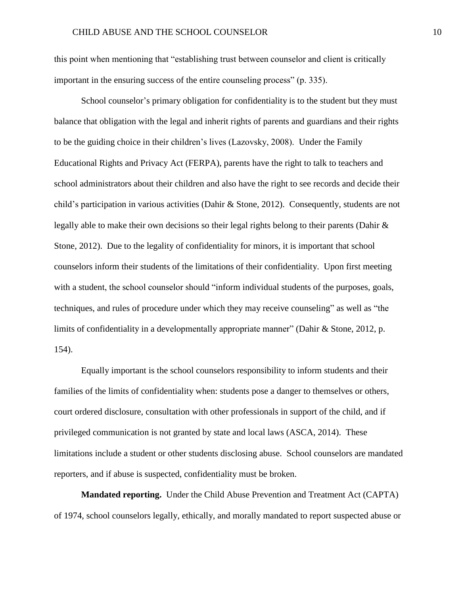this point when mentioning that "establishing trust between counselor and client is critically important in the ensuring success of the entire counseling process" (p. 335).

School counselor's primary obligation for confidentiality is to the student but they must balance that obligation with the legal and inherit rights of parents and guardians and their rights to be the guiding choice in their children's lives (Lazovsky, 2008). Under the Family Educational Rights and Privacy Act (FERPA), parents have the right to talk to teachers and school administrators about their children and also have the right to see records and decide their child's participation in various activities (Dahir & Stone, 2012). Consequently, students are not legally able to make their own decisions so their legal rights belong to their parents (Dahir & Stone, 2012). Due to the legality of confidentiality for minors, it is important that school counselors inform their students of the limitations of their confidentiality. Upon first meeting with a student, the school counselor should "inform individual students of the purposes, goals, techniques, and rules of procedure under which they may receive counseling" as well as "the limits of confidentiality in a developmentally appropriate manner" (Dahir & Stone, 2012, p. 154).

Equally important is the school counselors responsibility to inform students and their families of the limits of confidentiality when: students pose a danger to themselves or others, court ordered disclosure, consultation with other professionals in support of the child, and if privileged communication is not granted by state and local laws (ASCA, 2014). These limitations include a student or other students disclosing abuse. School counselors are mandated reporters, and if abuse is suspected, confidentiality must be broken.

**Mandated reporting.** Under the Child Abuse Prevention and Treatment Act (CAPTA) of 1974, school counselors legally, ethically, and morally mandated to report suspected abuse or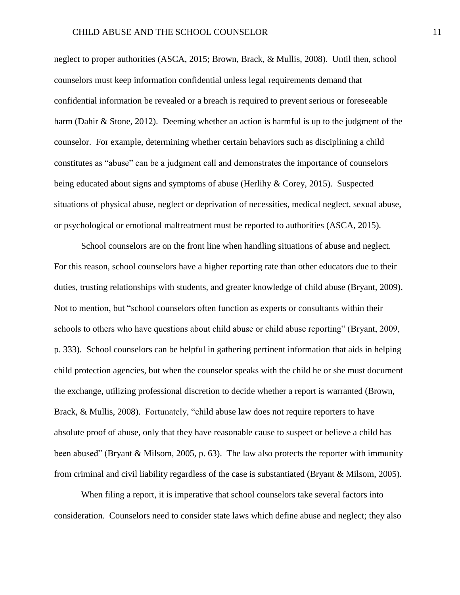neglect to proper authorities (ASCA, 2015; Brown, Brack, & Mullis, 2008). Until then, school counselors must keep information confidential unless legal requirements demand that confidential information be revealed or a breach is required to prevent serious or foreseeable harm (Dahir & Stone, 2012). Deeming whether an action is harmful is up to the judgment of the counselor. For example, determining whether certain behaviors such as disciplining a child constitutes as "abuse" can be a judgment call and demonstrates the importance of counselors being educated about signs and symptoms of abuse (Herlihy & Corey, 2015). Suspected situations of physical abuse, neglect or deprivation of necessities, medical neglect, sexual abuse, or psychological or emotional maltreatment must be reported to authorities (ASCA, 2015).

School counselors are on the front line when handling situations of abuse and neglect. For this reason, school counselors have a higher reporting rate than other educators due to their duties, trusting relationships with students, and greater knowledge of child abuse (Bryant, 2009). Not to mention, but "school counselors often function as experts or consultants within their schools to others who have questions about child abuse or child abuse reporting" (Bryant, 2009, p. 333). School counselors can be helpful in gathering pertinent information that aids in helping child protection agencies, but when the counselor speaks with the child he or she must document the exchange, utilizing professional discretion to decide whether a report is warranted (Brown, Brack, & Mullis, 2008). Fortunately, "child abuse law does not require reporters to have absolute proof of abuse, only that they have reasonable cause to suspect or believe a child has been abused" (Bryant & Milsom, 2005, p. 63). The law also protects the reporter with immunity from criminal and civil liability regardless of the case is substantiated (Bryant & Milsom, 2005).

When filing a report, it is imperative that school counselors take several factors into consideration. Counselors need to consider state laws which define abuse and neglect; they also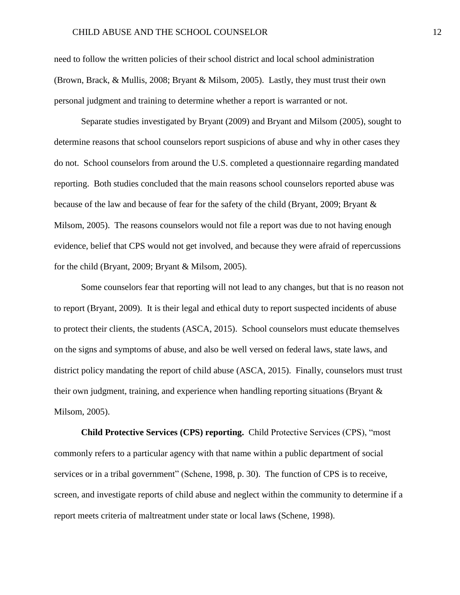need to follow the written policies of their school district and local school administration (Brown, Brack, & Mullis, 2008; Bryant & Milsom, 2005). Lastly, they must trust their own personal judgment and training to determine whether a report is warranted or not.

Separate studies investigated by Bryant (2009) and Bryant and Milsom (2005), sought to determine reasons that school counselors report suspicions of abuse and why in other cases they do not. School counselors from around the U.S. completed a questionnaire regarding mandated reporting. Both studies concluded that the main reasons school counselors reported abuse was because of the law and because of fear for the safety of the child (Bryant, 2009; Bryant & Milsom, 2005). The reasons counselors would not file a report was due to not having enough evidence, belief that CPS would not get involved, and because they were afraid of repercussions for the child (Bryant, 2009; Bryant & Milsom, 2005).

Some counselors fear that reporting will not lead to any changes, but that is no reason not to report (Bryant, 2009). It is their legal and ethical duty to report suspected incidents of abuse to protect their clients, the students (ASCA, 2015). School counselors must educate themselves on the signs and symptoms of abuse, and also be well versed on federal laws, state laws, and district policy mandating the report of child abuse (ASCA, 2015). Finally, counselors must trust their own judgment, training, and experience when handling reporting situations (Bryant & Milsom, 2005).

**Child Protective Services (CPS) reporting.** Child Protective Services (CPS), "most commonly refers to a particular agency with that name within a public department of social services or in a tribal government" (Schene, 1998, p. 30). The function of CPS is to receive, screen, and investigate reports of child abuse and neglect within the community to determine if a report meets criteria of maltreatment under state or local laws (Schene, 1998).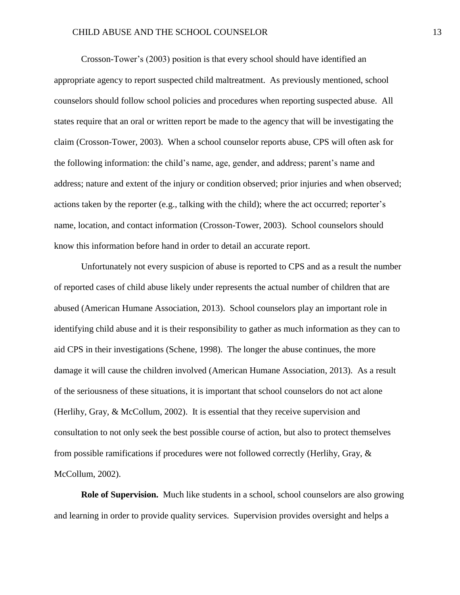## CHILD ABUSE AND THE SCHOOL COUNSELOR 13

Crosson-Tower's (2003) position is that every school should have identified an appropriate agency to report suspected child maltreatment. As previously mentioned, school counselors should follow school policies and procedures when reporting suspected abuse. All states require that an oral or written report be made to the agency that will be investigating the claim (Crosson-Tower, 2003). When a school counselor reports abuse, CPS will often ask for the following information: the child's name, age, gender, and address; parent's name and address; nature and extent of the injury or condition observed; prior injuries and when observed; actions taken by the reporter (e.g., talking with the child); where the act occurred; reporter's name, location, and contact information (Crosson-Tower, 2003). School counselors should know this information before hand in order to detail an accurate report.

Unfortunately not every suspicion of abuse is reported to CPS and as a result the number of reported cases of child abuse likely under represents the actual number of children that are abused (American Humane Association, 2013). School counselors play an important role in identifying child abuse and it is their responsibility to gather as much information as they can to aid CPS in their investigations (Schene, 1998). The longer the abuse continues, the more damage it will cause the children involved (American Humane Association, 2013). As a result of the seriousness of these situations, it is important that school counselors do not act alone (Herlihy, Gray, & McCollum, 2002). It is essential that they receive supervision and consultation to not only seek the best possible course of action, but also to protect themselves from possible ramifications if procedures were not followed correctly (Herlihy, Gray, & McCollum, 2002).

**Role of Supervision.** Much like students in a school, school counselors are also growing and learning in order to provide quality services. Supervision provides oversight and helps a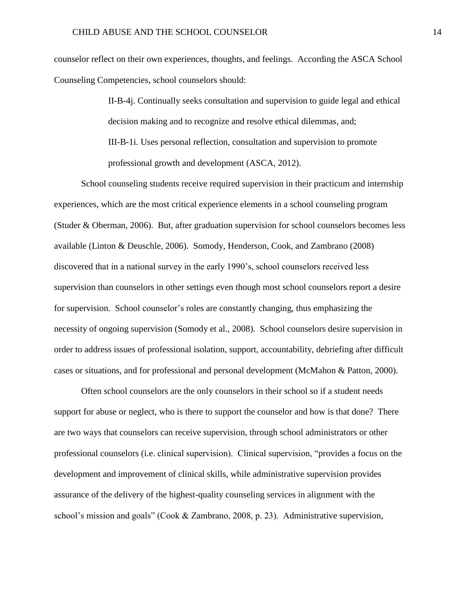counselor reflect on their own experiences, thoughts, and feelings. According the ASCA School Counseling Competencies, school counselors should:

> II-B-4j. Continually seeks consultation and supervision to guide legal and ethical decision making and to recognize and resolve ethical dilemmas, and; III-B-1i. Uses personal reflection, consultation and supervision to promote professional growth and development (ASCA, 2012).

School counseling students receive required supervision in their practicum and internship experiences, which are the most critical experience elements in a school counseling program (Studer & Oberman, 2006). But, after graduation supervision for school counselors becomes less available (Linton & Deuschle, 2006). Somody, Henderson, Cook, and Zambrano (2008) discovered that in a national survey in the early 1990's, school counselors received less supervision than counselors in other settings even though most school counselors report a desire for supervision. School counselor's roles are constantly changing, thus emphasizing the necessity of ongoing supervision (Somody et al., 2008). School counselors desire supervision in order to address issues of professional isolation, support, accountability, debriefing after difficult cases or situations, and for professional and personal development (McMahon & Patton, 2000).

Often school counselors are the only counselors in their school so if a student needs support for abuse or neglect, who is there to support the counselor and how is that done? There are two ways that counselors can receive supervision, through school administrators or other professional counselors (i.e. clinical supervision). Clinical supervision, "provides a focus on the development and improvement of clinical skills, while administrative supervision provides assurance of the delivery of the highest-quality counseling services in alignment with the school's mission and goals" (Cook & Zambrano, 2008, p. 23). Administrative supervision,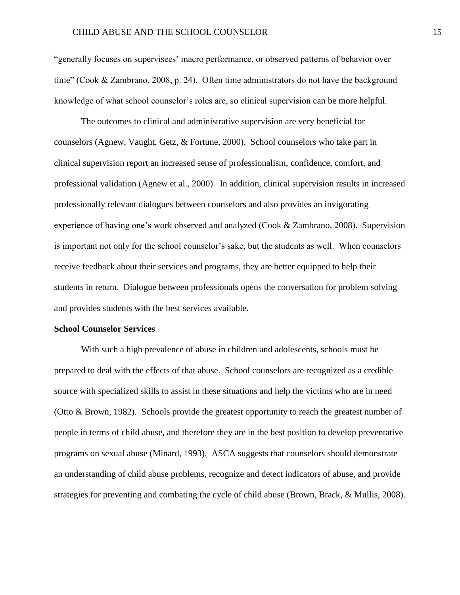"generally focuses on supervisees' macro performance, or observed patterns of behavior over time" (Cook & Zambrano, 2008, p. 24). Often time administrators do not have the background knowledge of what school counselor's roles are, so clinical supervision can be more helpful.

The outcomes to clinical and administrative supervision are very beneficial for counselors (Agnew, Vaught, Getz, & Fortune, 2000). School counselors who take part in clinical supervision report an increased sense of professionalism, confidence, comfort, and professional validation (Agnew et al., 2000). In addition, clinical supervision results in increased professionally relevant dialogues between counselors and also provides an invigorating experience of having one's work observed and analyzed (Cook & Zambrano, 2008). Supervision is important not only for the school counselor's sake, but the students as well. When counselors receive feedback about their services and programs, they are better equipped to help their students in return. Dialogue between professionals opens the conversation for problem solving and provides students with the best services available.

# **School Counselor Services**

With such a high prevalence of abuse in children and adolescents, schools must be prepared to deal with the effects of that abuse. School counselors are recognized as a credible source with specialized skills to assist in these situations and help the victims who are in need (Otto & Brown, 1982). Schools provide the greatest opportunity to reach the greatest number of people in terms of child abuse, and therefore they are in the best position to develop preventative programs on sexual abuse (Minard, 1993). ASCA suggests that counselors should demonstrate an understanding of child abuse problems, recognize and detect indicators of abuse, and provide strategies for preventing and combating the cycle of child abuse (Brown, Brack, & Mullis, 2008).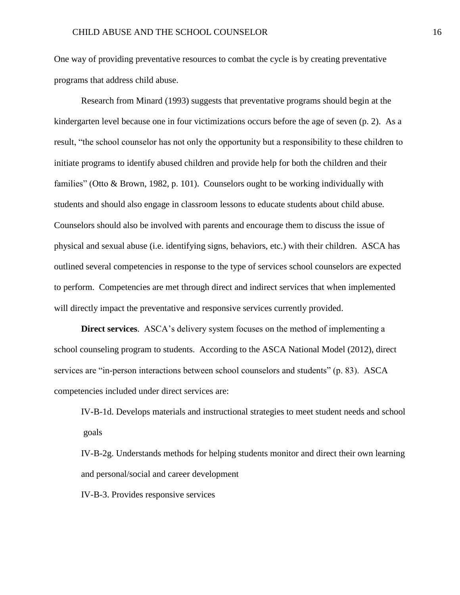One way of providing preventative resources to combat the cycle is by creating preventative programs that address child abuse.

Research from Minard (1993) suggests that preventative programs should begin at the kindergarten level because one in four victimizations occurs before the age of seven (p. 2). As a result, "the school counselor has not only the opportunity but a responsibility to these children to initiate programs to identify abused children and provide help for both the children and their families" (Otto & Brown, 1982, p. 101). Counselors ought to be working individually with students and should also engage in classroom lessons to educate students about child abuse. Counselors should also be involved with parents and encourage them to discuss the issue of physical and sexual abuse (i.e. identifying signs, behaviors, etc.) with their children. ASCA has outlined several competencies in response to the type of services school counselors are expected to perform. Competencies are met through direct and indirect services that when implemented will directly impact the preventative and responsive services currently provided.

**Direct services**. ASCA's delivery system focuses on the method of implementing a school counseling program to students. According to the ASCA National Model (2012), direct services are "in-person interactions between school counselors and students" (p. 83). ASCA competencies included under direct services are:

IV-B-1d. Develops materials and instructional strategies to meet student needs and school goals

IV-B-2g. Understands methods for helping students monitor and direct their own learning and personal/social and career development

IV-B-3. Provides responsive services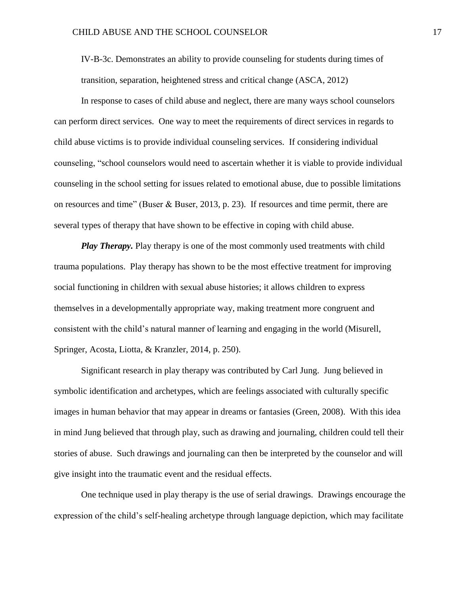IV-B-3c. Demonstrates an ability to provide counseling for students during times of transition, separation, heightened stress and critical change (ASCA, 2012)

In response to cases of child abuse and neglect, there are many ways school counselors can perform direct services. One way to meet the requirements of direct services in regards to child abuse victims is to provide individual counseling services. If considering individual counseling, "school counselors would need to ascertain whether it is viable to provide individual counseling in the school setting for issues related to emotional abuse, due to possible limitations on resources and time" (Buser & Buser, 2013, p. 23). If resources and time permit, there are several types of therapy that have shown to be effective in coping with child abuse.

*Play Therapy.* Play therapy is one of the most commonly used treatments with child trauma populations. Play therapy has shown to be the most effective treatment for improving social functioning in children with sexual abuse histories; it allows children to express themselves in a developmentally appropriate way, making treatment more congruent and consistent with the child's natural manner of learning and engaging in the world (Misurell, Springer, Acosta, Liotta, & Kranzler, 2014, p. 250).

Significant research in play therapy was contributed by Carl Jung. Jung believed in symbolic identification and archetypes, which are feelings associated with culturally specific images in human behavior that may appear in dreams or fantasies (Green, 2008). With this idea in mind Jung believed that through play, such as drawing and journaling, children could tell their stories of abuse. Such drawings and journaling can then be interpreted by the counselor and will give insight into the traumatic event and the residual effects.

One technique used in play therapy is the use of serial drawings. Drawings encourage the expression of the child's self-healing archetype through language depiction, which may facilitate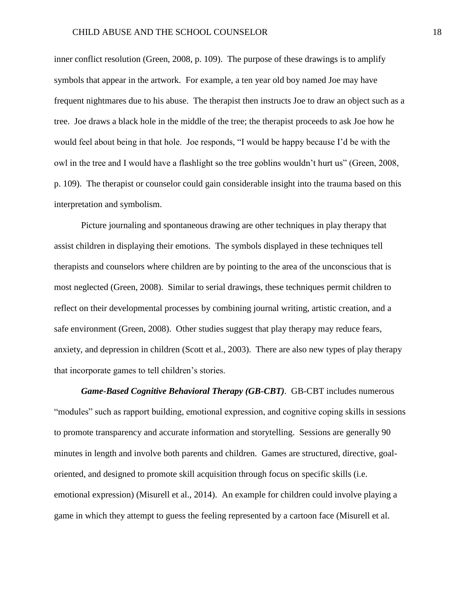inner conflict resolution (Green, 2008, p. 109). The purpose of these drawings is to amplify symbols that appear in the artwork. For example, a ten year old boy named Joe may have frequent nightmares due to his abuse. The therapist then instructs Joe to draw an object such as a tree. Joe draws a black hole in the middle of the tree; the therapist proceeds to ask Joe how he would feel about being in that hole. Joe responds, "I would be happy because I'd be with the owl in the tree and I would have a flashlight so the tree goblins wouldn't hurt us" (Green, 2008, p. 109). The therapist or counselor could gain considerable insight into the trauma based on this interpretation and symbolism.

Picture journaling and spontaneous drawing are other techniques in play therapy that assist children in displaying their emotions. The symbols displayed in these techniques tell therapists and counselors where children are by pointing to the area of the unconscious that is most neglected (Green, 2008). Similar to serial drawings, these techniques permit children to reflect on their developmental processes by combining journal writing, artistic creation, and a safe environment (Green, 2008). Other studies suggest that play therapy may reduce fears, anxiety, and depression in children (Scott et al., 2003). There are also new types of play therapy that incorporate games to tell children's stories.

*Game-Based Cognitive Behavioral Therapy (GB-CBT)*. GB-CBT includes numerous "modules" such as rapport building, emotional expression, and cognitive coping skills in sessions to promote transparency and accurate information and storytelling. Sessions are generally 90 minutes in length and involve both parents and children. Games are structured, directive, goaloriented, and designed to promote skill acquisition through focus on specific skills (i.e. emotional expression) (Misurell et al., 2014). An example for children could involve playing a game in which they attempt to guess the feeling represented by a cartoon face (Misurell et al.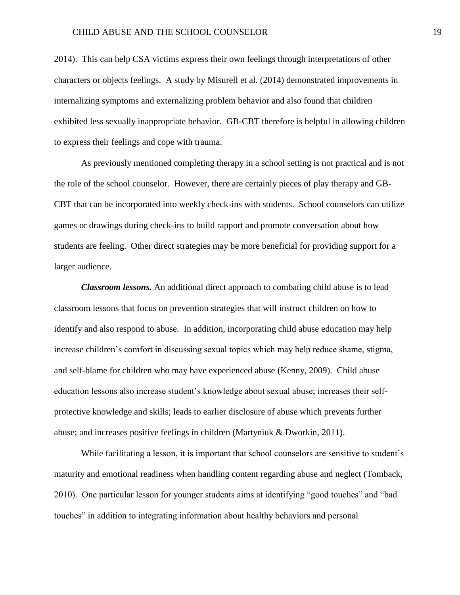2014). This can help CSA victims express their own feelings through interpretations of other characters or objects feelings. A study by Misurell et al. (2014) demonstrated improvements in internalizing symptoms and externalizing problem behavior and also found that children exhibited less sexually inappropriate behavior. GB-CBT therefore is helpful in allowing children to express their feelings and cope with trauma.

As previously mentioned completing therapy in a school setting is not practical and is not the role of the school counselor. However, there are certainly pieces of play therapy and GB-CBT that can be incorporated into weekly check-ins with students. School counselors can utilize games or drawings during check-ins to build rapport and promote conversation about how students are feeling. Other direct strategies may be more beneficial for providing support for a larger audience.

*Classroom lessons.* An additional direct approach to combating child abuse is to lead classroom lessons that focus on prevention strategies that will instruct children on how to identify and also respond to abuse. In addition, incorporating child abuse education may help increase children's comfort in discussing sexual topics which may help reduce shame, stigma, and self-blame for children who may have experienced abuse (Kenny, 2009). Child abuse education lessons also increase student's knowledge about sexual abuse; increases their selfprotective knowledge and skills; leads to earlier disclosure of abuse which prevents further abuse; and increases positive feelings in children (Martyniuk & Dworkin, 2011).

While facilitating a lesson, it is important that school counselors are sensitive to student's maturity and emotional readiness when handling content regarding abuse and neglect (Tomback, 2010). One particular lesson for younger students aims at identifying "good touches" and "bad touches" in addition to integrating information about healthy behaviors and personal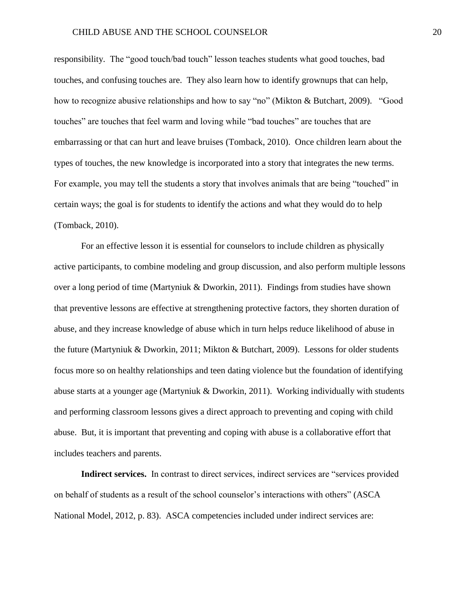responsibility. The "good touch/bad touch" lesson teaches students what good touches, bad touches, and confusing touches are. They also learn how to identify grownups that can help, how to recognize abusive relationships and how to say "no" (Mikton & Butchart, 2009). "Good touches" are touches that feel warm and loving while "bad touches" are touches that are embarrassing or that can hurt and leave bruises (Tomback, 2010). Once children learn about the types of touches, the new knowledge is incorporated into a story that integrates the new terms. For example, you may tell the students a story that involves animals that are being "touched" in certain ways; the goal is for students to identify the actions and what they would do to help (Tomback, 2010).

For an effective lesson it is essential for counselors to include children as physically active participants, to combine modeling and group discussion, and also perform multiple lessons over a long period of time (Martyniuk & Dworkin, 2011). Findings from studies have shown that preventive lessons are effective at strengthening protective factors, they shorten duration of abuse, and they increase knowledge of abuse which in turn helps reduce likelihood of abuse in the future (Martyniuk & Dworkin, 2011; Mikton & Butchart, 2009). Lessons for older students focus more so on healthy relationships and teen dating violence but the foundation of identifying abuse starts at a younger age (Martyniuk & Dworkin, 2011). Working individually with students and performing classroom lessons gives a direct approach to preventing and coping with child abuse. But, it is important that preventing and coping with abuse is a collaborative effort that includes teachers and parents.

**Indirect services.** In contrast to direct services, indirect services are "services provided on behalf of students as a result of the school counselor's interactions with others" (ASCA National Model, 2012, p. 83). ASCA competencies included under indirect services are: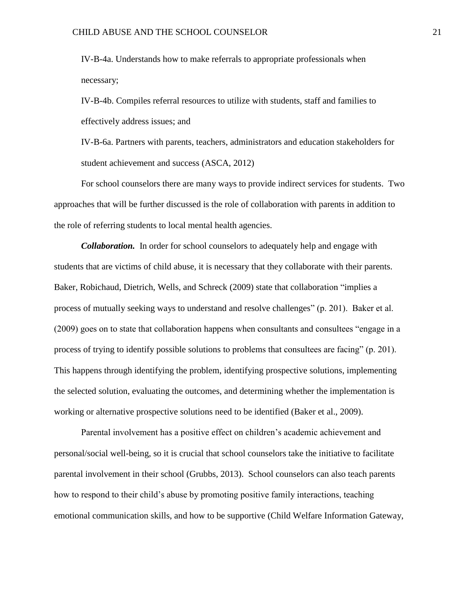IV-B-4a. Understands how to make referrals to appropriate professionals when necessary;

IV-B-4b. Compiles referral resources to utilize with students, staff and families to effectively address issues; and

IV-B-6a. Partners with parents, teachers, administrators and education stakeholders for student achievement and success (ASCA, 2012)

For school counselors there are many ways to provide indirect services for students. Two approaches that will be further discussed is the role of collaboration with parents in addition to the role of referring students to local mental health agencies.

*Collaboration.* In order for school counselors to adequately help and engage with students that are victims of child abuse, it is necessary that they collaborate with their parents. Baker, Robichaud, Dietrich, Wells, and Schreck (2009) state that collaboration "implies a process of mutually seeking ways to understand and resolve challenges" (p. 201). Baker et al. (2009) goes on to state that collaboration happens when consultants and consultees "engage in a process of trying to identify possible solutions to problems that consultees are facing" (p. 201). This happens through identifying the problem, identifying prospective solutions, implementing the selected solution, evaluating the outcomes, and determining whether the implementation is working or alternative prospective solutions need to be identified (Baker et al., 2009).

Parental involvement has a positive effect on children's academic achievement and personal/social well-being, so it is crucial that school counselors take the initiative to facilitate parental involvement in their school (Grubbs, 2013). School counselors can also teach parents how to respond to their child's abuse by promoting positive family interactions, teaching emotional communication skills, and how to be supportive (Child Welfare Information Gateway,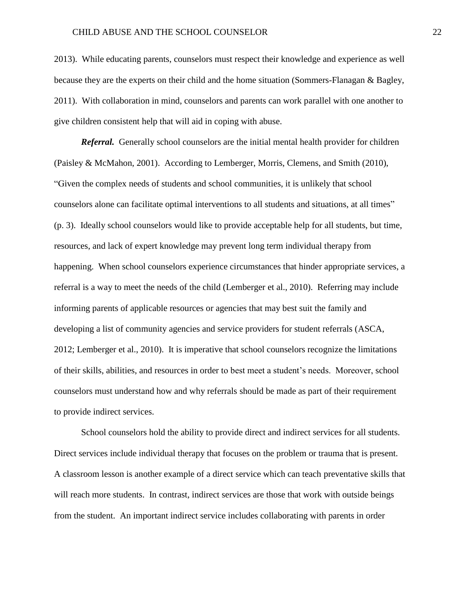2013). While educating parents, counselors must respect their knowledge and experience as well because they are the experts on their child and the home situation (Sommers-Flanagan & Bagley, 2011). With collaboration in mind, counselors and parents can work parallel with one another to give children consistent help that will aid in coping with abuse.

*Referral.* Generally school counselors are the initial mental health provider for children (Paisley & McMahon, 2001). According to Lemberger, Morris, Clemens, and Smith (2010), "Given the complex needs of students and school communities, it is unlikely that school counselors alone can facilitate optimal interventions to all students and situations, at all times" (p. 3). Ideally school counselors would like to provide acceptable help for all students, but time, resources, and lack of expert knowledge may prevent long term individual therapy from happening. When school counselors experience circumstances that hinder appropriate services, a referral is a way to meet the needs of the child (Lemberger et al., 2010). Referring may include informing parents of applicable resources or agencies that may best suit the family and developing a list of community agencies and service providers for student referrals (ASCA, 2012; Lemberger et al., 2010). It is imperative that school counselors recognize the limitations of their skills, abilities, and resources in order to best meet a student's needs. Moreover, school counselors must understand how and why referrals should be made as part of their requirement to provide indirect services.

School counselors hold the ability to provide direct and indirect services for all students. Direct services include individual therapy that focuses on the problem or trauma that is present. A classroom lesson is another example of a direct service which can teach preventative skills that will reach more students. In contrast, indirect services are those that work with outside beings from the student. An important indirect service includes collaborating with parents in order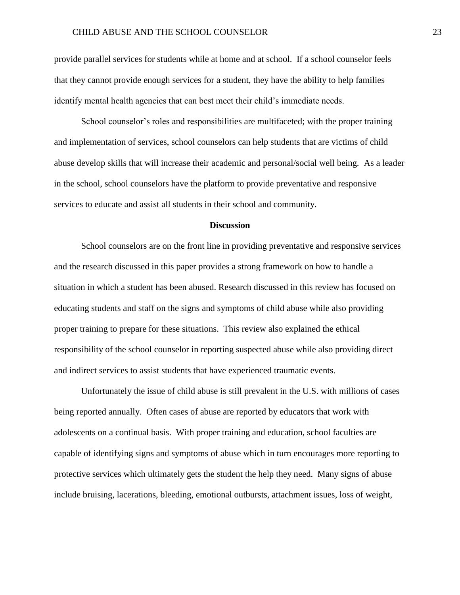provide parallel services for students while at home and at school. If a school counselor feels that they cannot provide enough services for a student, they have the ability to help families identify mental health agencies that can best meet their child's immediate needs.

School counselor's roles and responsibilities are multifaceted; with the proper training and implementation of services, school counselors can help students that are victims of child abuse develop skills that will increase their academic and personal/social well being. As a leader in the school, school counselors have the platform to provide preventative and responsive services to educate and assist all students in their school and community.

# **Discussion**

School counselors are on the front line in providing preventative and responsive services and the research discussed in this paper provides a strong framework on how to handle a situation in which a student has been abused. Research discussed in this review has focused on educating students and staff on the signs and symptoms of child abuse while also providing proper training to prepare for these situations. This review also explained the ethical responsibility of the school counselor in reporting suspected abuse while also providing direct and indirect services to assist students that have experienced traumatic events.

Unfortunately the issue of child abuse is still prevalent in the U.S. with millions of cases being reported annually. Often cases of abuse are reported by educators that work with adolescents on a continual basis. With proper training and education, school faculties are capable of identifying signs and symptoms of abuse which in turn encourages more reporting to protective services which ultimately gets the student the help they need. Many signs of abuse include bruising, lacerations, bleeding, emotional outbursts, attachment issues, loss of weight,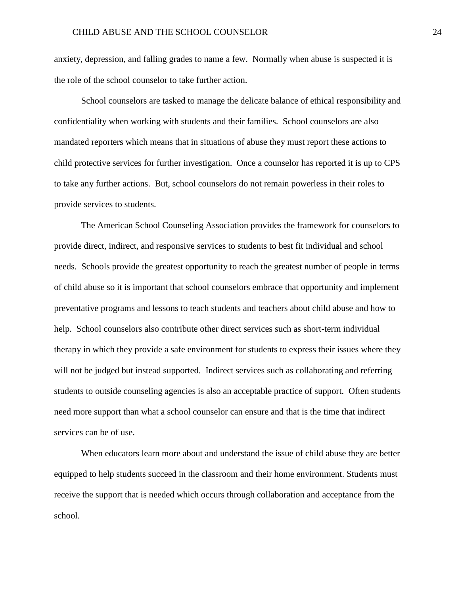anxiety, depression, and falling grades to name a few. Normally when abuse is suspected it is the role of the school counselor to take further action.

School counselors are tasked to manage the delicate balance of ethical responsibility and confidentiality when working with students and their families. School counselors are also mandated reporters which means that in situations of abuse they must report these actions to child protective services for further investigation. Once a counselor has reported it is up to CPS to take any further actions. But, school counselors do not remain powerless in their roles to provide services to students.

The American School Counseling Association provides the framework for counselors to provide direct, indirect, and responsive services to students to best fit individual and school needs. Schools provide the greatest opportunity to reach the greatest number of people in terms of child abuse so it is important that school counselors embrace that opportunity and implement preventative programs and lessons to teach students and teachers about child abuse and how to help. School counselors also contribute other direct services such as short-term individual therapy in which they provide a safe environment for students to express their issues where they will not be judged but instead supported. Indirect services such as collaborating and referring students to outside counseling agencies is also an acceptable practice of support. Often students need more support than what a school counselor can ensure and that is the time that indirect services can be of use.

When educators learn more about and understand the issue of child abuse they are better equipped to help students succeed in the classroom and their home environment. Students must receive the support that is needed which occurs through collaboration and acceptance from the school.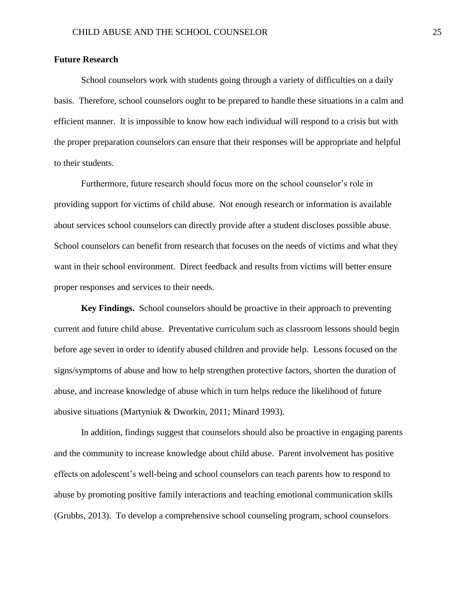# **Future Research**

School counselors work with students going through a variety of difficulties on a daily basis. Therefore, school counselors ought to be prepared to handle these situations in a calm and efficient manner. It is impossible to know how each individual will respond to a crisis but with the proper preparation counselors can ensure that their responses will be appropriate and helpful to their students.

Furthermore, future research should focus more on the school counselor's role in providing support for victims of child abuse. Not enough research or information is available about services school counselors can directly provide after a student discloses possible abuse. School counselors can benefit from research that focuses on the needs of victims and what they want in their school environment. Direct feedback and results from victims will better ensure proper responses and services to their needs.

**Key Findings.** School counselors should be proactive in their approach to preventing current and future child abuse. Preventative curriculum such as classroom lessons should begin before age seven in order to identify abused children and provide help. Lessons focused on the signs/symptoms of abuse and how to help strengthen protective factors, shorten the duration of abuse, and increase knowledge of abuse which in turn helps reduce the likelihood of future abusive situations (Martyniuk & Dworkin, 2011; Minard 1993).

In addition, findings suggest that counselors should also be proactive in engaging parents and the community to increase knowledge about child abuse. Parent involvement has positive effects on adolescent's well-being and school counselors can teach parents how to respond to abuse by promoting positive family interactions and teaching emotional communication skills (Grubbs, 2013). To develop a comprehensive school counseling program, school counselors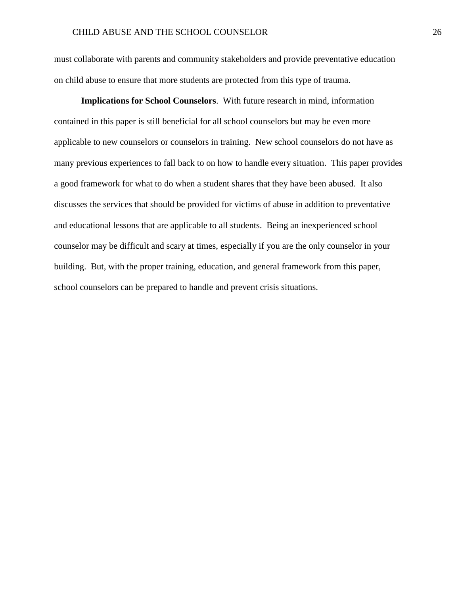must collaborate with parents and community stakeholders and provide preventative education on child abuse to ensure that more students are protected from this type of trauma.

**Implications for School Counselors**. With future research in mind, information contained in this paper is still beneficial for all school counselors but may be even more applicable to new counselors or counselors in training. New school counselors do not have as many previous experiences to fall back to on how to handle every situation. This paper provides a good framework for what to do when a student shares that they have been abused. It also discusses the services that should be provided for victims of abuse in addition to preventative and educational lessons that are applicable to all students. Being an inexperienced school counselor may be difficult and scary at times, especially if you are the only counselor in your building. But, with the proper training, education, and general framework from this paper, school counselors can be prepared to handle and prevent crisis situations.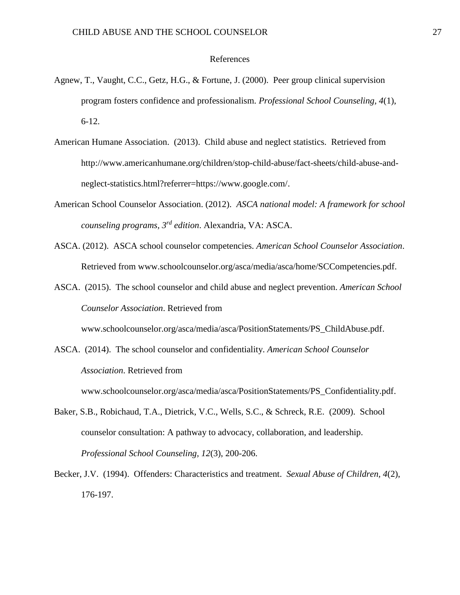#### References

- Agnew, T., Vaught, C.C., Getz, H.G., & Fortune, J. (2000). Peer group clinical supervision program fosters confidence and professionalism. *Professional School Counseling, 4*(1), 6-12.
- American Humane Association. (2013). Child abuse and neglect statistics. Retrieved from http://www.americanhumane.org/children/stop-child-abuse/fact-sheets/child-abuse-andneglect-statistics.html?referrer=https://www.google.com/.
- American School Counselor Association. (2012). *ASCA national model: A framework for school counseling programs, 3rd edition*. Alexandria, VA: ASCA.
- ASCA. (2012). ASCA school counselor competencies. *American School Counselor Association*. Retrieved from www.schoolcounselor.org/asca/media/asca/home/SCCompetencies.pdf.
- ASCA. (2015). The school counselor and child abuse and neglect prevention. *American School Counselor Association*. Retrieved from

www.schoolcounselor.org/asca/media/asca/PositionStatements/PS\_ChildAbuse.pdf.

ASCA. (2014). The school counselor and confidentiality. *American School Counselor Association*. Retrieved from

www.schoolcounselor.org/asca/media/asca/PositionStatements/PS\_Confidentiality.pdf.

- Baker, S.B., Robichaud, T.A., Dietrick, V.C., Wells, S.C., & Schreck, R.E. (2009). School counselor consultation: A pathway to advocacy, collaboration, and leadership. *Professional School Counseling, 12*(3), 200-206.
- Becker, J.V. (1994). Offenders: Characteristics and treatment. *Sexual Abuse of Children, 4*(2), 176-197.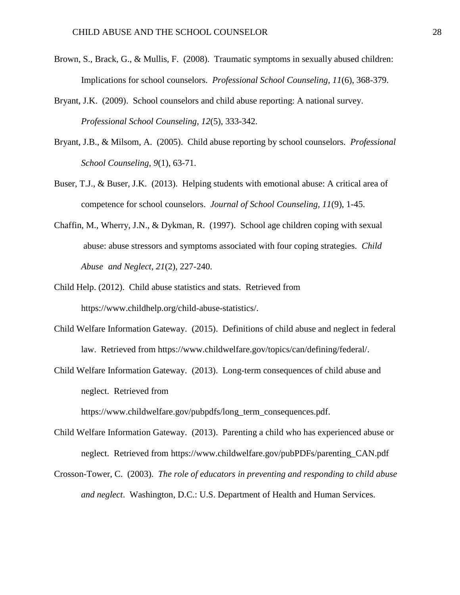- Brown, S., Brack, G., & Mullis, F. (2008). Traumatic symptoms in sexually abused children: Implications for school counselors. *Professional School Counseling, 11*(6), 368-379.
- Bryant, J.K. (2009). School counselors and child abuse reporting: A national survey. *Professional School Counseling, 12*(5), 333-342.
- Bryant, J.B., & Milsom, A. (2005). Child abuse reporting by school counselors. *Professional School Counseling, 9*(1), 63-71.
- Buser, T.J., & Buser, J.K. (2013). Helping students with emotional abuse: A critical area of competence for school counselors. *Journal of School Counseling, 11*(9), 1-45.
- Chaffin, M., Wherry, J.N., & Dykman, R. (1997). School age children coping with sexual abuse: abuse stressors and symptoms associated with four coping strategies. *Child Abuse and Neglect, 21*(2), 227-240.
- Child Help. (2012). Child abuse statistics and stats. Retrieved from https://www.childhelp.org/child-abuse-statistics/.
- Child Welfare Information Gateway. (2015). Definitions of child abuse and neglect in federal law. Retrieved from https://www.childwelfare.gov/topics/can/defining/federal/.
- Child Welfare Information Gateway. (2013). Long-term consequences of child abuse and neglect. Retrieved from

https://www.childwelfare.gov/pubpdfs/long\_term\_consequences.pdf.

- Child Welfare Information Gateway. (2013). Parenting a child who has experienced abuse or neglect. Retrieved from https://www.childwelfare.gov/pubPDFs/parenting\_CAN.pdf
- Crosson-Tower, C. (2003). *The role of educators in preventing and responding to child abuse and neglect*. Washington, D.C.: U.S. Department of Health and Human Services.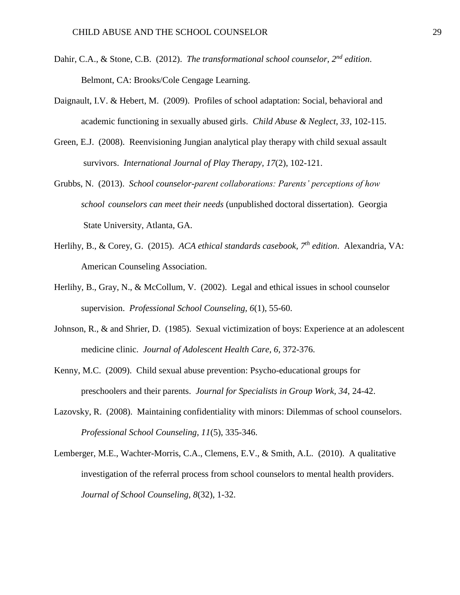- Dahir, C.A., & Stone, C.B. (2012). *The transformational school counselor, 2nd edition*. Belmont, CA: Brooks/Cole Cengage Learning.
- Daignault, I.V. & Hebert, M. (2009). Profiles of school adaptation: Social, behavioral and academic functioning in sexually abused girls. *Child Abuse & Neglect, 33*, 102-115.
- Green, E.J. (2008). Reenvisioning Jungian analytical play therapy with child sexual assault survivors. *International Journal of Play Therapy, 17*(2), 102-121.
- Grubbs, N. (2013). *School counselor-parent collaborations: Parents' perceptions of how school counselors can meet their needs* (unpublished doctoral dissertation). Georgia State University, Atlanta, GA.
- Herlihy, B., & Corey, G. (2015). *ACA ethical standards casebook, 7th edition*. Alexandria, VA: American Counseling Association.
- Herlihy, B., Gray, N., & McCollum, V. (2002). Legal and ethical issues in school counselor supervision. *Professional School Counseling, 6*(1), 55-60.
- Johnson, R., & and Shrier, D. (1985). Sexual victimization of boys: Experience at an adolescent medicine clinic. *Journal of Adolescent Health Care, 6*, 372-376.
- Kenny, M.C. (2009). Child sexual abuse prevention: Psycho-educational groups for preschoolers and their parents. *Journal for Specialists in Group Work, 34*, 24-42.
- Lazovsky, R. (2008). Maintaining confidentiality with minors: Dilemmas of school counselors. *Professional School Counseling, 11*(5), 335-346.
- Lemberger, M.E., Wachter-Morris, C.A., Clemens, E.V., & Smith, A.L. (2010). A qualitative investigation of the referral process from school counselors to mental health providers. *Journal of School Counseling, 8*(32), 1-32.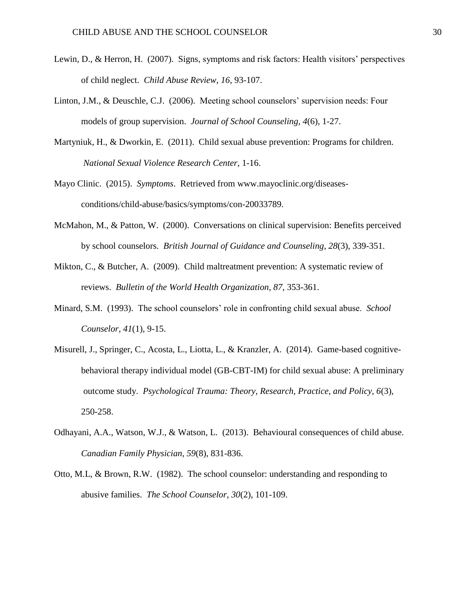- Lewin, D., & Herron, H. (2007). Signs, symptoms and risk factors: Health visitors' perspectives of child neglect. *Child Abuse Review, 16*, 93-107.
- Linton, J.M., & Deuschle, C.J. (2006). Meeting school counselors' supervision needs: Four models of group supervision. *Journal of School Counseling, 4*(6), 1-27.
- Martyniuk, H., & Dworkin, E. (2011). Child sexual abuse prevention: Programs for children. *National Sexual Violence Research Center*, 1-16.
- Mayo Clinic. (2015). *Symptoms*. Retrieved from www.mayoclinic.org/diseasesconditions/child-abuse/basics/symptoms/con-20033789.
- McMahon, M., & Patton, W. (2000). Conversations on clinical supervision: Benefits perceived by school counselors. *British Journal of Guidance and Counseling, 28*(3), 339-351.
- Mikton, C., & Butcher, A. (2009). Child maltreatment prevention: A systematic review of reviews. *Bulletin of the World Health Organization, 87*, 353-361.
- Minard, S.M. (1993). The school counselors' role in confronting child sexual abuse. *School Counselor, 41*(1), 9-15.
- Misurell, J., Springer, C., Acosta, L., Liotta, L., & Kranzler, A. (2014). Game-based cognitivebehavioral therapy individual model (GB-CBT-IM) for child sexual abuse: A preliminary outcome study. *Psychological Trauma: Theory, Research, Practice, and Policy, 6*(3), 250-258.
- Odhayani, A.A., Watson, W.J., & Watson, L. (2013). Behavioural consequences of child abuse. *Canadian Family Physician, 59*(8), 831-836.
- Otto, M.L, & Brown, R.W. (1982). The school counselor: understanding and responding to abusive families. *The School Counselor, 30*(2), 101-109.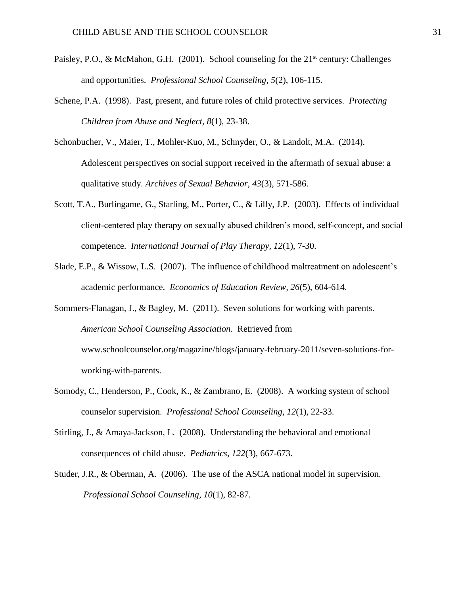- Paisley, P.O., & McMahon, G.H. (2001). School counseling for the  $21<sup>st</sup>$  century: Challenges and opportunities. *Professional School Counseling, 5*(2), 106-115.
- Schene, P.A. (1998). Past, present, and future roles of child protective services. *Protecting Children from Abuse and Neglect, 8*(1), 23-38.
- Schonbucher, V., Maier, T., Mohler-Kuo, M., Schnyder, O., & Landolt, M.A. (2014). Adolescent perspectives on social support received in the aftermath of sexual abuse: a qualitative study. *Archives of Sexual Behavior, 43*(3), 571-586.
- Scott, T.A., Burlingame, G., Starling, M., Porter, C., & Lilly, J.P. (2003). Effects of individual client-centered play therapy on sexually abused children's mood, self-concept, and social competence. *International Journal of Play Therapy, 12*(1), 7-30.
- Slade, E.P., & Wissow, L.S. (2007). The influence of childhood maltreatment on adolescent's academic performance. *Economics of Education Review, 26*(5), 604-614.
- Sommers-Flanagan, J., & Bagley, M. (2011). Seven solutions for working with parents. *American School Counseling Association*. Retrieved from www.schoolcounselor.org/magazine/blogs/january-february-2011/seven-solutions-forworking-with-parents.
- Somody, C., Henderson, P., Cook, K., & Zambrano, E. (2008). A working system of school counselor supervision. *Professional School Counseling, 12*(1), 22-33.
- Stirling, J., & Amaya-Jackson, L. (2008). Understanding the behavioral and emotional consequences of child abuse. *Pediatrics, 122*(3), 667-673.
- Studer, J.R., & Oberman, A. (2006). The use of the ASCA national model in supervision. *Professional School Counseling, 10*(1), 82-87.